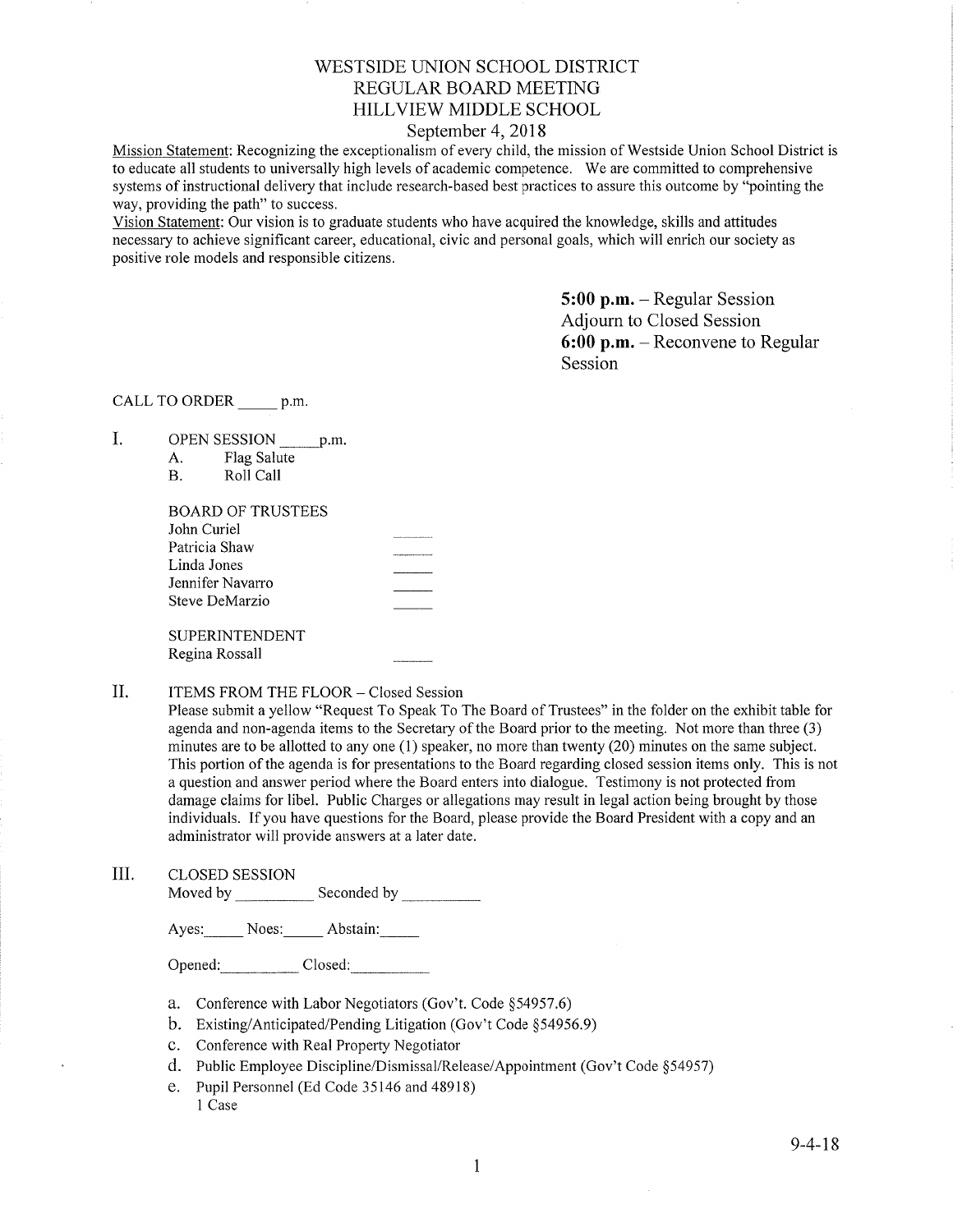# WESTSIDE LINION SCHOOL DISTRICT REGULAR BOARD MEETING HILLVIEW MIDDLE SCHOOL

# September 4, 2018

Mission Statement: Recognizing the exceptionalism of every child, the mission of Westside Union School District is to educate all students to universally high levels of acadernic competence. We are committed to comprehensive systems of instructional delivery that include research-based best practices to assure this outcome by "pointing the way, providing the path" to success.

Vision Statement: Our vision is to graduate students who have acquired the knowledge, skills and attitudes necessary to achieve significant career, educational, civic and personal goals, which will enrich our society as positive role models and responsible citizens.

> 5:00 p.m. - Regular Session Adjourn to Closed Session 6:00 p.m. - Reconvene to Regular Session

CALL TO ORDER p.m.

I OPEN SESSION p.m.

| А. | Flag Salute                 |
|----|-----------------------------|
| D  | $D \wedge$ 11 $C \wedge$ 11 |

| D. | NOII VAII |  |
|----|-----------|--|
|    |           |  |
|    |           |  |

| BOARD OF TRUSTEES |  |
|-------------------|--|
| John Curiel       |  |
| Patricia Shaw     |  |
| Linda Jones       |  |
| Jennifer Navarro  |  |
| Steve DeMarzio    |  |
|                   |  |
| SUPERINTENDENT    |  |
| Regina Rossall    |  |
|                   |  |

### ITEMS FROM THE FLOOR - Closed Session il

Please submit a yellow "Request To Speak To The Board of Trustees" in the folder on the exhibit table for agenda and non-agenda items to the Secretary of the Board prior to the meeting. Not more than three (3) minutes are to be allotted to any one (1) speaker, no more than twenty (20) minutes on the same subject. This portion of the agenda is for presentations to the Board regarding closed session items only. This is not a question and answer period where the Board enters into dialogue. Testimony is not protected from damage claims for libel. Public Charges or allegations may result in legal action being brought by those individuals. If you have questions for the Board, please provide the Board President with a copy and an administrator will provide answers at a later date.

III. CLOSED SESSION

Moved by Seconded by Seconded by Seconded by Seconded by Seconded by Seconded by Seconded by Seconded by Seconded by Seconded by Seconded by Seconded by Seconded by Seconded by Seconded by Seconded by Seconded by Seconded

Ayes: Noes: Abstain:

Opened: Closed: Closed:

- a. Conference with Labor Negotiators (Gov't. Code \$54957.6)
- b. Existing/Anticipated/Pending Litigation (Gov't Code \$54956.9)
- c. Conference with Real Property Negotiator
- d. Public Employee Discipline/Dismissal/Release/Appointment (Gov't Code \$54957)
- e. Pupil Personnel (Ed Code 35146 and 48918) 1 Case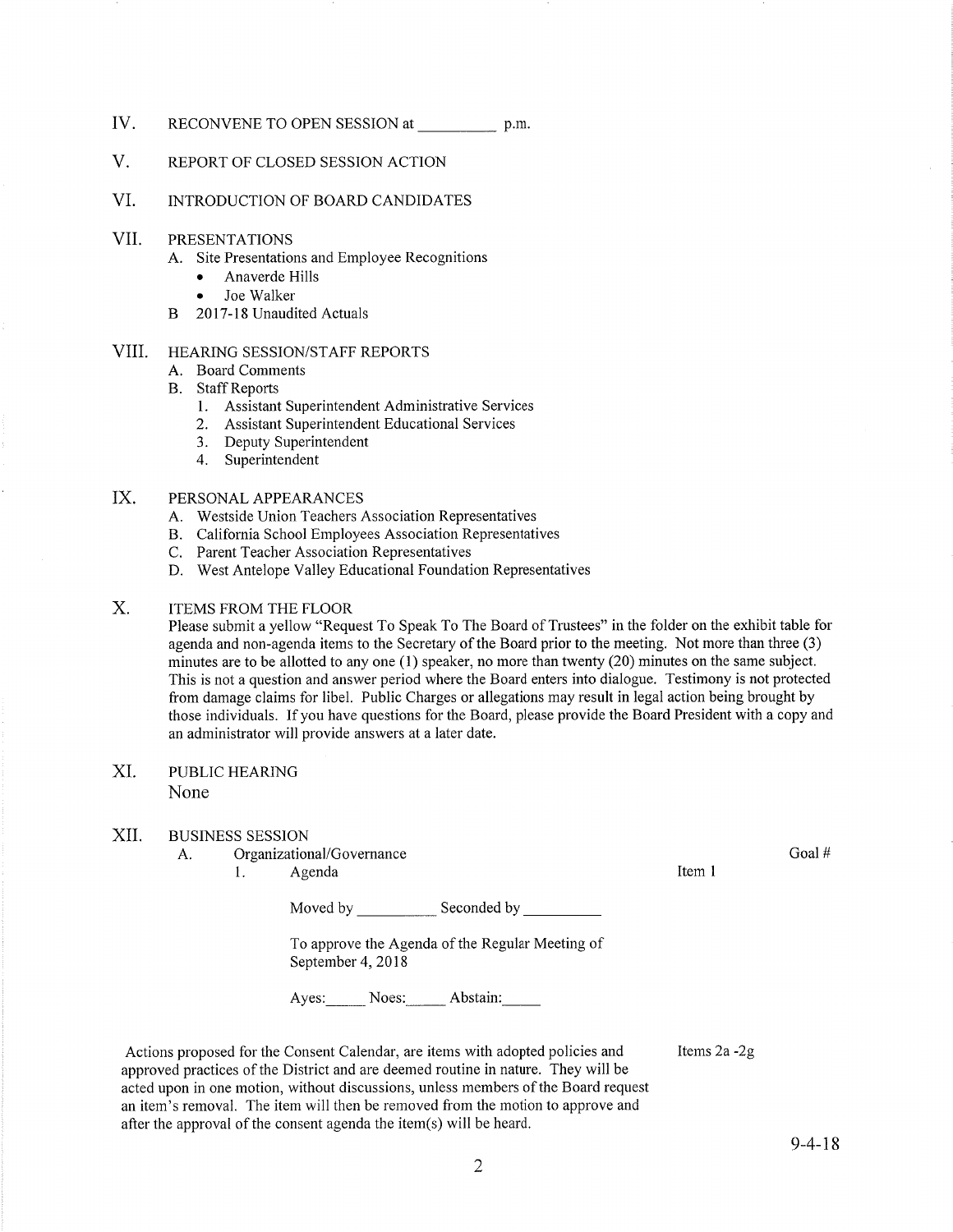- IV. RECONVENE TO OPEN SESSION at \_\_\_\_\_\_\_\_\_\_\_\_\_\_\_\_\_ p.m.
- V. REPORT OF CLOSED SESSION ACTION
- VI. INTRODUCTION OF BOARD CANDIDATES
- VII PRESENTATIONS
	- A. Site Presentations and Employee Recognitions
		- Anaverde Hills
		- . Joe Walker
	- B 2017-18 Unaudited Actuals

#### HEARING SESSION/STAFF REPORTS VIII

- A. Board Comments
- B. Staff Reports
	- 1. Assistant Superintendent Administrative Services
	- 2. Assistant Superintendent Educational Services
	- 3. Deputy Superintendent 4. Superintendent
	-

#### PERSONAL APPEARANCES IX.

- A. Westside Union Teachers Association Representatives
- B. California School Employees Association Representatives
- C. Parent Teacher Association Representatives
- D. West Antelope Valley Educational Foundation Representatives

### ITEMS FROM THE FLOOR  $X<sub>1</sub>$

Please submit a yellow "Request To Speak To The Board of Trustees" in the folder on the exhibit table for agenda and non-agenda items to the Secretary of the Board prior to the meeting. Not more than three (3) minutes are to be allotted to any one (1) speaker, no more than twenty (20) minutes on the same subject. This is not a question and answer period where the Board enters into dialogue. Testimony is not protected from damage claims for libel. Public Charges or allegations may result in legal action being brought by those individuals. Ifyou have questions for the Board, please provide the Board President with a copy and an administrator will provide answers at a later date.

### PUBLIC HEARING XI.

None

### XII. BUSINESS SESSION

- A. Organizational/Governance 1. Agenda
	-

Moved by Seconded by Seconded by Seconded by Seconded by Seconded by Seconded by Seconded by Seconded by Seconded by Seconded by Seconded by Seconded by Seconded by Seconded by Seconded by Seconded by Seconded by Seconded

To approve the Agenda of the Regular Meeting of September 4, 2018

Ayes: Noes: Abstain:

Actions proposed for the Consent Calendar, are items with adopted policies and approved practices of the District and are deemed routine in nature. They will be acted upon in one motion, without discussions, unless members of the Board request an item's removal. The item will then be removed from the motion to approve and after the approval of the consent agenda the item(s) will be heard. Items2a -2g Goal #

Item I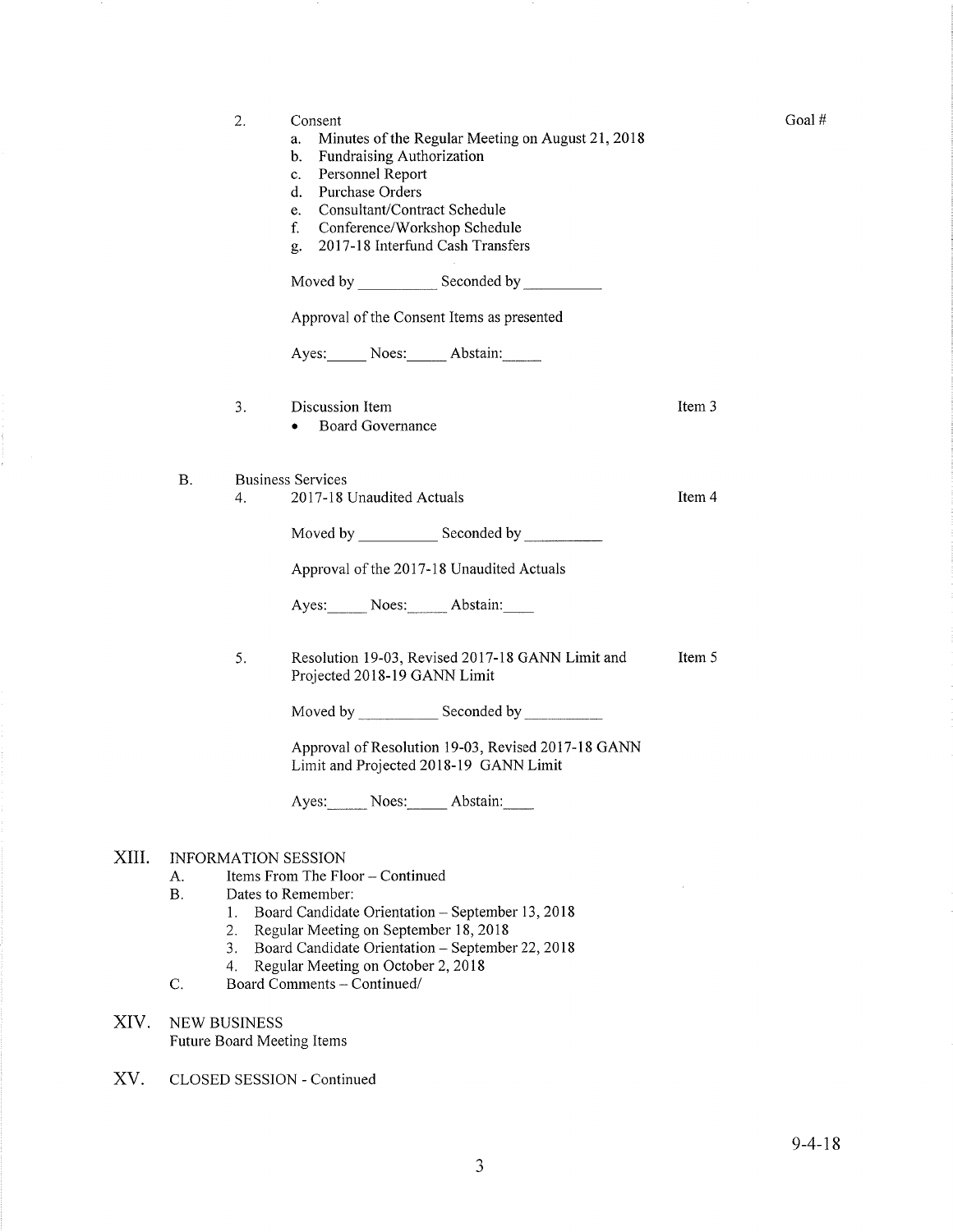|           | 2.                  | Consent<br>Minutes of the Regular Meeting on August 21, 2018<br>a.<br>Fundraising Authorization<br>b.<br>Personnel Report<br>c.<br>Purchase Orders<br>d.<br>Consultant/Contract Schedule<br>e.<br>f.<br>Conference/Workshop Schedule<br>2017-18 Interfund Cash Transfers<br>g. |        |
|-----------|---------------------|--------------------------------------------------------------------------------------------------------------------------------------------------------------------------------------------------------------------------------------------------------------------------------|--------|
|           |                     |                                                                                                                                                                                                                                                                                |        |
|           |                     | Approval of the Consent Items as presented                                                                                                                                                                                                                                     |        |
|           |                     | Ayes: Noes: Abstain:                                                                                                                                                                                                                                                           |        |
|           | 3.                  | Discussion Item<br><b>Board Governance</b>                                                                                                                                                                                                                                     | Item 3 |
| <b>B.</b> | 4.                  | <b>Business Services</b><br>2017-18 Unaudited Actuals                                                                                                                                                                                                                          | Item 4 |
|           |                     | Moved by ________________ Seconded by ________________                                                                                                                                                                                                                         |        |
|           |                     | Approval of the 2017-18 Unaudited Actuals                                                                                                                                                                                                                                      |        |
|           |                     | Ayes: Noes: Abstain:                                                                                                                                                                                                                                                           |        |
|           | 5.                  | Resolution 19-03, Revised 2017-18 GANN Limit and<br>Projected 2018-19 GANN Limit                                                                                                                                                                                               | Item 5 |
|           |                     |                                                                                                                                                                                                                                                                                |        |
|           |                     | Approval of Resolution 19-03, Revised 2017-18 GANN<br>Limit and Projected 2018-19 GANN Limit                                                                                                                                                                                   |        |
|           |                     | Ayes: Noes: Abstain:                                                                                                                                                                                                                                                           |        |
| А.        |                     | <b>INFORMATION SESSION</b><br>Items From The Floor - Continued                                                                                                                                                                                                                 |        |
| B.        | 1.                  | Dates to Remember:<br>Board Candidate Orientation - September 13, 2018                                                                                                                                                                                                         |        |
|           | 2.<br>3.            | Regular Meeting on September 18, 2018<br>Board Candidate Orientation - September 22, 2018                                                                                                                                                                                      |        |
| C.        | 4.                  | Regular Meeting on October 2, 2018<br>Board Comments - Continued/                                                                                                                                                                                                              |        |
|           | <b>NEW BUSINESS</b> | Future Board Meeting Items                                                                                                                                                                                                                                                     |        |
|           |                     | CLOSED SESSION - Continued                                                                                                                                                                                                                                                     |        |

XIII

XIV.

XV.

Goal #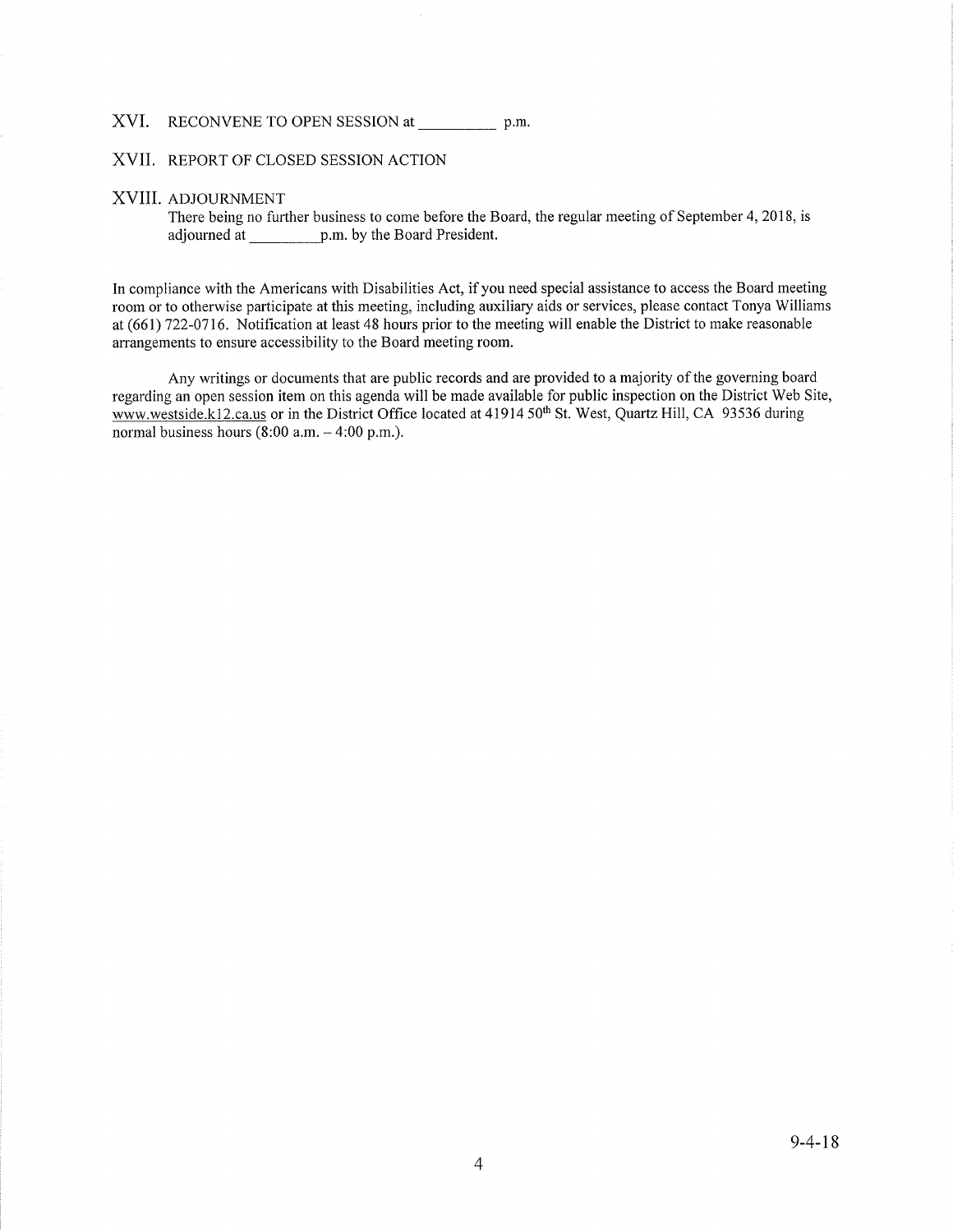### XVI. RECONVENE TO OPEN SESSION at p.m.

### XVII. REPORT OF CLOSED SESSION ACTION

### XVIII ADJOURNMENT

There being no further business to come before the Board, the regular meeting of September 4, 2018, is adjourned at p.m. by the Board President.

In compliance with the Americans with Disabilities Act, if you need special assistance to access the Board meeting room or to otherwise participate at this meeting, including auxiliary aids or services, please contact Tonya Williams at (661) 122-0116. Notification at least 48 hours prior to the meeting will enable the District to make reasonable arrangements to ensure accessibility to the Board meeting room.

Any writings or documents that are public records and are provided to a majority of the governing board regarding an open session item on this agenda will be made available for public inspection on the District Web Site, www.westside.k12.ca.us or in the District Office located at 41914 50<sup>th</sup> St. West, Quartz Hill, CA 93536 during normal business hours  $(8:00 a.m. - 4:00 p.m.).$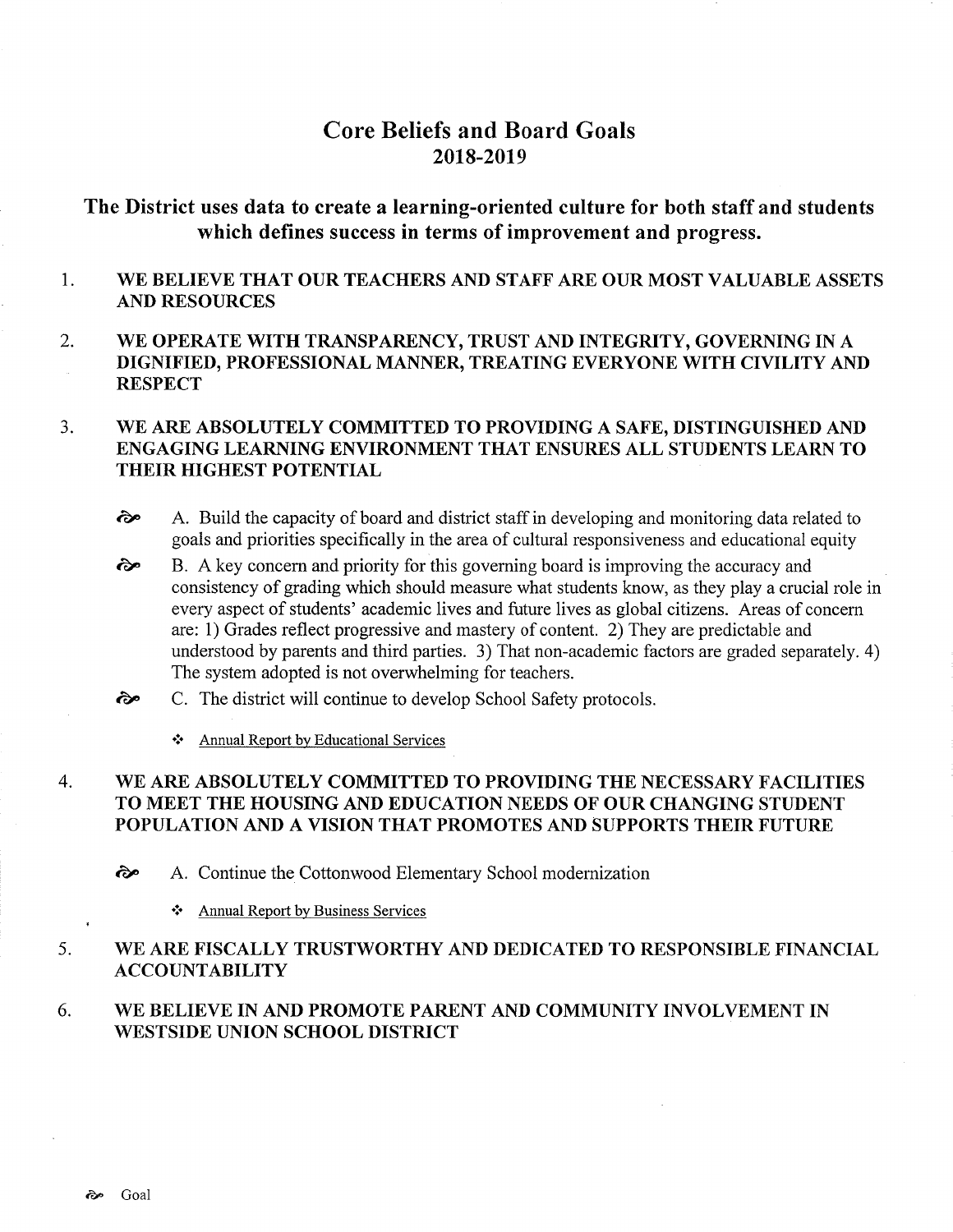# Core Beliefs and Board Goals 2018-2019

# The District uses data to create a learning-oriented culture for both staff and students which defïnes success in terms of improvement and progress.

- 1 WE BELIEVE THAT OUR TEACHERS AND STAFF ARE OUR MOST VALUABLE ASSETS AND RESOURCES
- 2. WE OPERATE WITH TRANSPARENCY, TRUST AND INTEGRITY, GOVERNING IN A DIGNIFIED, PROFESSIONAL MANNER, TREATING EVERYONE WITH CIVILITY AND RESPECT

### WE ARE ABSOLUTELY COMMITTED TO PROVIDING A SAFE, DISTINGUISHED AND ENGAGING LEARNING ENVIRONMENT THAT ENSURES ALL STUDENTS LEARN TO THEIR HIGHEST POTENTIAL  $3.$

- èp A. Build the capacity of board and district staff in developing and monitoring data related to goals and priorities specifically in the area of cultural responsiveness and educational equity
- B. A key concem and priority for this governing board is improving the accuracy and consistency of grading which should measure what students know, as they play a crucial role in every aspect of students' academic lives and future lives as global citizens. Areas of concern are: 1) Grades reflect progressive and mastery of content. 2) They are predictable and understood by parents and third parties. 3) That non-academic factors are graded separately. 4) The system adopted is not overwhelming for teachers. rãe
- C. The district will continue to develop School Safety protocols. ôÊ
	- ❖ Annual Report by Educational Services

### WE ARE ABSOLUTELY COMMITTED TO PROVIDING THE NECESSARY FACILITIES TO MEET THE HOUSING AND EDUCATION NEEDS OF OUR CHANGING STUDENT POPULATION AND A VISION THAT PROMOTES AND SUPPORTS THEIR FUTURE 4

èp A. Continue the Cottonwood Elementary School modernization

❖ Annual Report by Business Services

### WE ARE FISCALLY TRUSTWORTHY AND DEDICATED TO RESPONSIBLE FINANCIAL ACCOUNTABILITY 5

### WE BELIEVE IN AND PROMOTE PARENT AND COMMUNITY INVOLVEMENT IN WESTSIDE UNION SCHOOL DISTRICT 6.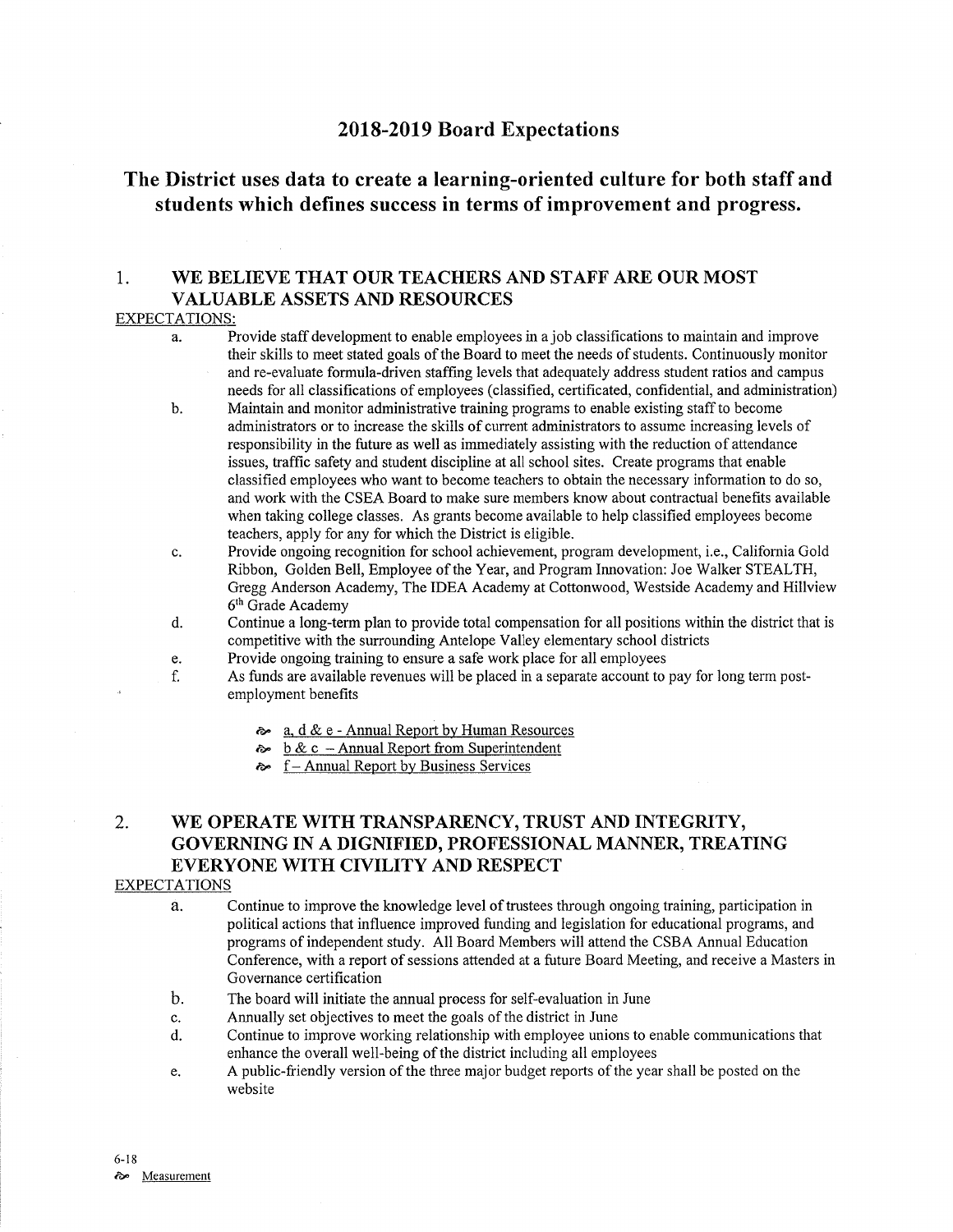# 2018-2019 Board Expectations

# The District uses data to create a learning-oriented culture for both staff and students which defines success in terms of improvement and progress.

# 1. WE BELIEVE THAT OUR TEACHERS AND STAFF ARE OUR MOST VALUABLE ASSETS AND RESOURCES

## EXPECTATIONS:

- a. Provide staff development to enable employees in a job classifications to maintain and improve their skills to meet stated goals of the Board to meet the needs of students. Continuously monitor and re-evaluate formula-driven staffing levels that adequately address student ratios and campus needs for all classifications of employees (classified, certificated, confidential, and administration)
- b. Maintain and monitor administrative training programs to enable existing staff to become administrators or to increase the skills of current administrators to assume increasing levels of responsibility in the future as well as immediately assisting with the reduction of attendance issues, traffic safety and student discipline at all school sites. Create programs that enable classified employees who want to become teachers to obtain the necessary information to do so, and work with the CSEA Board to make sure members know about contractual benefits available when taking college classes. As grants become available to help classified employees become teachers, apply for any for which the District is eligible.
- c. Provide ongoing recognition for school achievement, program development, i.e., Califomia Gold Ribbon, Golden Bell, Employee of the Year, and Program Imovation: Joe Walker STEALTH, Gregg Anderson Academy, The IDEA Academy at Cottonwood, Westside Academy and Hillview 6th Grade Academy
- d. Continue a long-term plan to provide total compensation for all positions within the district that is competitive with the surrounding Antelope Valley elementary school districts
- 
- e. Provide ongoing training to ensure a safe work place for all employees<br>f. As funds are available revenues will be placed in a separate account to pay for long term post-<br>employment benefits
	- a,  $d \& e$  Annual Report by Human Resources
	- $\approx$  b & c Annual Report from Superintendent
	- $\sim$  f Annual Report by Business Services

# 2. WE OPERATE WITH TRANSPARENCY, TRUST AND INTEGRITY, GOVERNING IN A DIGNIFIED, PROFESSIONAL MANNER, TREATING EVERYONE WITH CIVILITY AND RESPECT

## EXPECTATIONS

- a. Continue to improve the knowledge level of trustees through ongoing training, participation in political actions that influence improved funding and legislation for educational programs, and programs of independent study. All Board Members will attend the CSBA Annual Education Conference, with a report of sessions attended at a future Board Meeting, and receive a Masters in Governance certification
- b. The board will initiate the annual process for self-evaluation in June
- c. Annually set objectives to meet the goals of the district in June
- d. Continue to improve working relationship with employee unions to enable communications that enhance the overall well-being of the district including all employees
- e. A public-friendly version of the three major budget reports of the year shall be posted on the website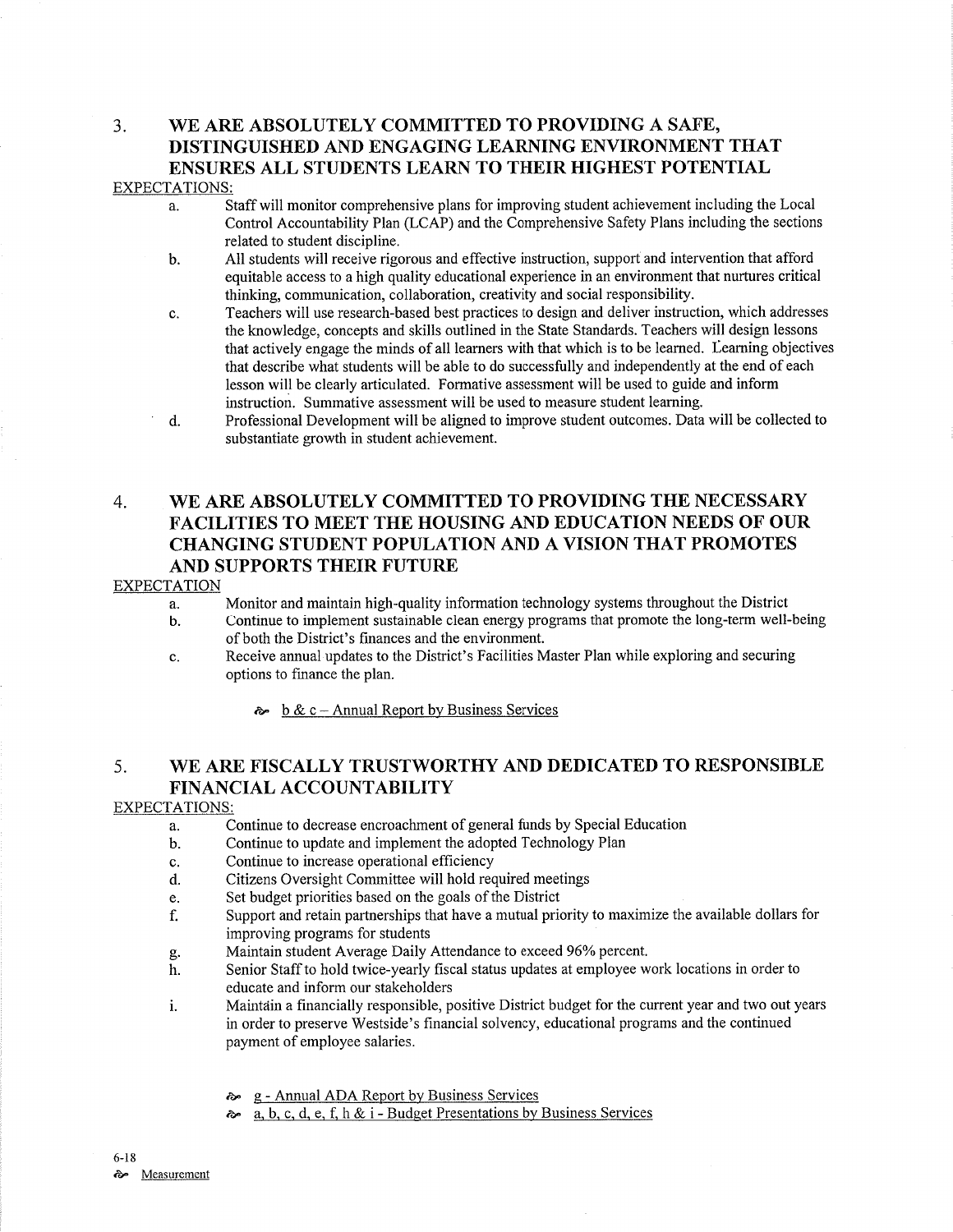# 3. WE ARE ABSOLUTELY COMMITTED TO PROVIDING A SAFE, DISTINGUISHED AND ENGAGING LEARNING ENVIRONMENT THAT ENSURES ALL STUDENTS LEARN TO THEIR HIGHEST POTENTIAL EXPECTATIONS:

- a. Staff will monitor comprehensive plans for improving student achievement including the Local Control Accountability Plan (LCAP) and the Comprehensive Safefy Plans including the sections related to student discipline.
- b. AII students will receive rigorous and effective instruction, support and intervention that afford equitable access to a high quality educational experience in an environment that nurtures critical thinking, communication, collaboration, creativity and social responsibility.
- c. Teachers will use research-based best practices to design and deliver instruction, which addresses the knowledge, concepts and skills outlined in the State Standards. Teachers will design lessons that actively engage the minds of all learners with that which is to be learned. Learning objectives that describe what students will be able to do successfully and independently at the end of each lesson will be clearly articulated. Formative assessment will be used to guide and inform instruction. Summative assessment will be used to measure student learning.
- d. Professional Development will be aligned to improve student outcomes. Data will be collected to substantiate growth in student achievement.

# 4. WE ARE ABSOLUTELY COMMITTED TO PROVIDING THE NECESSARY FACILITIES TO MEET THE HOUSING AND EDUCATION NEEDS OF OUR CHANGING STUDENT POPULATION AND A VISION THAT PROMOTES AND SUPPORTS THEIR FUTURE

## EXPECTATION

- 
- a. Monitor and maintain high-quality information technology systems throughout the District b. Continue to implement sustainable clean energy programs that promote the long-term well-being of both the District's finances and the environment.
- c. Receive annual updates to the District's Facilities Master Plan while exploring and secwing options to finance the plan.
	- $\approx$  b & c Annual Report by Business Services

# 5. WE ARE FISCALLY TRUSTWORTHY AND DEDICATED TO RESPONSIBLE FINANCIAL ACCOUNTABILITY

## EXPECTATIONS:

- a. Continue to decrease encroachment of general funds by Special Education
- b. Continue to update and implement the adopted Technology Plan
- c. Continue to increase operational efficiency
- d. Citizens Oversight Committee will hold required meetings
- e. Set budget priorities based on the goals of the District
- f. Supporf and retain paftnerships that have a mutual priority to maximize the available dollars for improving programs for students<br>Maintain student Average Daily Attendance to exceed 96% percent.
- 
- g. Maintain student Average Daily Attendance to exceed 96% percent.<br>h. Senior Staff to hold twice-yearly fiscal status updates at employee work locations in order to educate and inform our stakeholders
- i. Maintain a financially responsible, positive District budget for the current year and two out years in order to preserve Westside's financial solvency, educational programs and the continued payment of employee salaries.
	-
	- **a.** g Annual ADA Report by Business Services<br>**a.** b. c. d. e. f. h & i Budget Presentations by Business Services